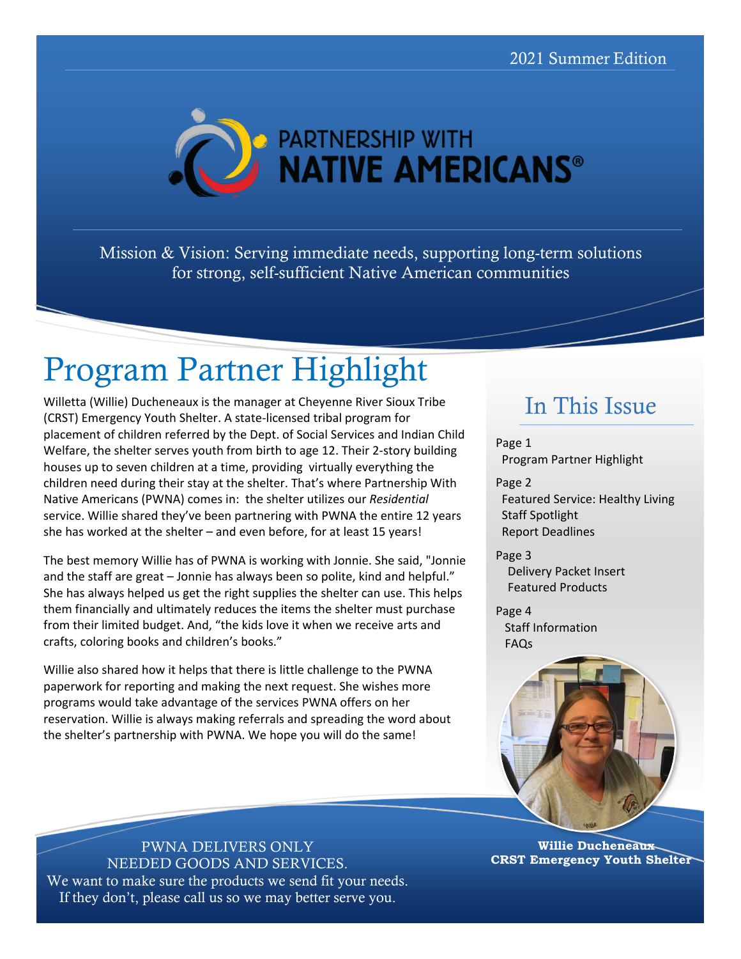

Mission & Vision: Serving immediate needs, supporting long-term solutions for strong, self-sufficient Native American communities

# Program Partner Highlight

Willetta (Willie) Ducheneaux is the manager at Cheyenne River Sioux Tribe (CRST) Emergency Youth Shelter. A state-licensed tribal program for placement of children referred by the Dept. of Social Services and Indian Child Welfare, the shelter serves youth from birth to age 12. Their 2-story building houses up to seven children at a time, providing virtually everything the children need during their stay at the shelter. That's where Partnership With Native Americans (PWNA) comes in: the shelter utilizes our *Residential* service. Willie shared they've been partnering with PWNA the entire 12 years she has worked at the shelter – and even before, for at least 15 years!

The best memory Willie has of PWNA is working with Jonnie. She said, "Jonnie and the staff are great – Jonnie has always been so polite, kind and helpful." She has always helped us get the right supplies the shelter can use. This helps them financially and ultimately reduces the items the shelter must purchase from their limited budget. And, "the kids love it when we receive arts and crafts, coloring books and children's books."

Willie also shared how it helps that there is little challenge to the PWNA paperwork for reporting and making the next request. She wishes more programs would take advantage of the services PWNA offers on her reservation. Willie is always making referrals and spreading the word about the shelter's partnership with PWNA. We hope you will do the same!

#### In This Issue

Page 1 Program Partner Highlight

Page 2 Featured Service: Healthy Living Staff Spotlight Report Deadlines

Page 3 Delivery Packet Insert Featured Products

Page 4 Staff Information FAQs



**Willie Ducheneaux CRST Emergency Youth Shelter**

PWNA DELIVERS ONLY NEEDED GOODS AND SERVICES. We want to make sure the products we send fit your needs. If they don't, please call us so we may better serve you.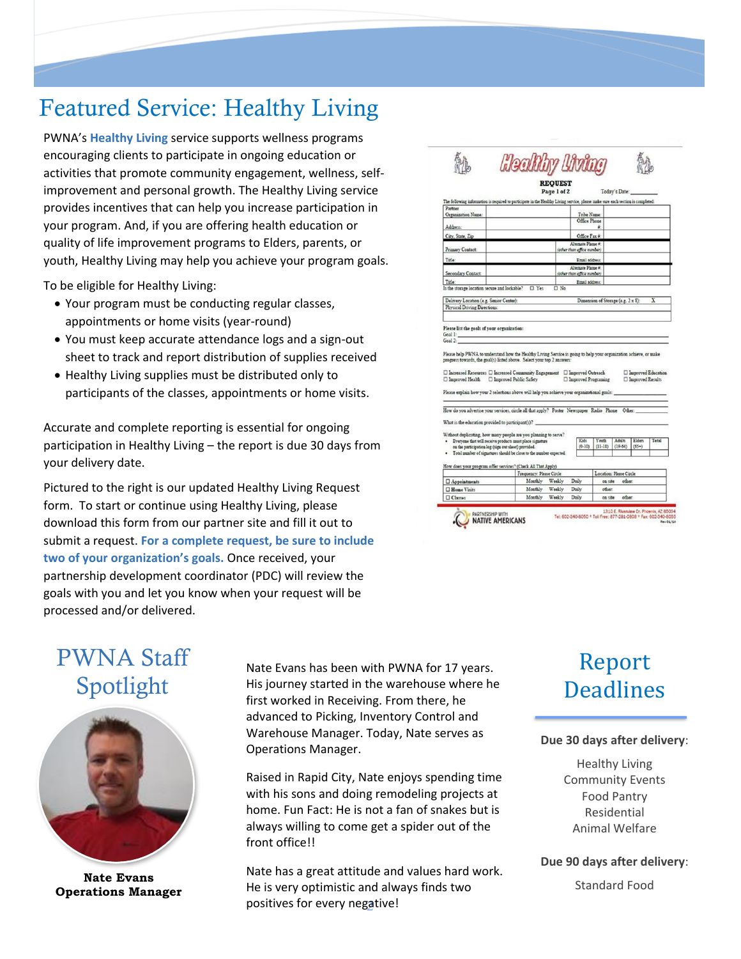### Featured Service: Healthy Living

PWNA's **Healthy Living** service supports wellness programs encouraging clients to participate in ongoing education or activities that promote community engagement, wellness, selfimprovement and personal growth. The Healthy Living service provides incentives that can help you increase participation in your program. And, if you are offering health education or quality of life improvement programs to Elders, parents, or youth, Healthy Living may help you achieve your program goals.

To be eligible for Healthy Living:

- Your program must be conducting regular classes, appointments or home visits (year-round)
- You must keep accurate attendance logs and a sign-out sheet to track and report distribution of supplies received
- Healthy Living supplies must be distributed only to participants of the classes, appointments or home visits.

Accurate and complete reporting is essential for ongoing participation in Healthy Living – the report is due 30 days from your delivery date.

Pictured to the right is our updated Healthy Living Request form. To start or continue using Healthy Living, please download this form from our partner site and fill it out to submit a request. **For a complete request, be sure to include two of your organization's goals.** Once received, your partnership development coordinator (PDC) will review the goals with you and let you know when your request will be processed and/or delivered.

|                                                                                                                                                                                                                            |                          | <b>REOUEST</b>   |                                              |                                    |               |                                            |       |
|----------------------------------------------------------------------------------------------------------------------------------------------------------------------------------------------------------------------------|--------------------------|------------------|----------------------------------------------|------------------------------------|---------------|--------------------------------------------|-------|
|                                                                                                                                                                                                                            |                          | Page 1 of 2      |                                              |                                    | Today's Date: |                                            |       |
| The following information is required to participate in the Healthy Living service, please make sure each section is completed:                                                                                            |                          |                  |                                              |                                    |               |                                            |       |
| Partner                                                                                                                                                                                                                    |                          |                  |                                              |                                    |               |                                            |       |
| Organization Name:                                                                                                                                                                                                         |                          |                  | Tribe Name:                                  |                                    |               |                                            |       |
| Address:                                                                                                                                                                                                                   |                          |                  | Office Phone                                 | ă.                                 |               |                                            |       |
| City, State, Zip                                                                                                                                                                                                           |                          |                  | Office Fax #:                                |                                    |               |                                            |       |
|                                                                                                                                                                                                                            |                          |                  | Alternate Phone #:                           |                                    |               |                                            |       |
| Primary Contact:                                                                                                                                                                                                           |                          |                  | (other than office number)                   |                                    |               |                                            |       |
| Title:                                                                                                                                                                                                                     |                          |                  | Email address:                               |                                    |               |                                            |       |
| Secondary Contact:                                                                                                                                                                                                         |                          |                  | Alternate Phone #:                           |                                    |               |                                            |       |
| Title:                                                                                                                                                                                                                     |                          |                  | (other than office number)<br>Email address: |                                    |               |                                            |       |
| Is the storage location secure and lockable?                                                                                                                                                                               | $\square$ Yes            | $\Box$ No        |                                              |                                    |               |                                            |       |
|                                                                                                                                                                                                                            |                          |                  |                                              |                                    |               |                                            |       |
| Delivery Location (e.g. Senior Center):<br>Physical Driving Directions:                                                                                                                                                    |                          |                  |                                              | Dimension of Storage (e.g. 2 x 8): |               |                                            | x     |
|                                                                                                                                                                                                                            |                          |                  |                                              |                                    |               |                                            |       |
| Please list the goals of your organization:<br>Goal 1:<br>Goal 2:<br>Please help PWNA to understand how the Healthy Living Service is going to help your organization achieve, or make                                     |                          |                  |                                              |                                    |               |                                            |       |
| progress towards, the goal(s) listed above. Select your top 2 answers:<br>$\square$ Increased Resources $\square$ Increased Community Engagement $\square$ Improved Outreach<br>□ Improved Health □ Improved Public Safety |                          |                  | □ Improved Programing                        |                                    |               | □ Improved Education<br>□ Improved Results |       |
| Please explain how your 2 selections above will help you achieve your organizational goals:                                                                                                                                |                          |                  |                                              |                                    |               |                                            |       |
|                                                                                                                                                                                                                            |                          |                  |                                              |                                    |               |                                            |       |
| How do you advertise your services, circle all that apply? Poster Newspaper Radio Phone Other:                                                                                                                             |                          |                  |                                              |                                    |               |                                            |       |
| What is the education provided to participant(s)?                                                                                                                                                                          |                          |                  |                                              |                                    |               |                                            |       |
| Without duplicating, how many people are you planning to serve?                                                                                                                                                            |                          |                  |                                              |                                    |               |                                            |       |
| Everyone that will receive products must place signature                                                                                                                                                                   |                          |                  | Kids                                         | Youth                              | Adults        | Elders                                     | Total |
| on the participation log (sign out sheet) provided.<br>Total number of signatures should be close to the number expected.                                                                                                  |                          |                  | $(0-10)$                                     | $(11-18)$                          | $(19-64)$     | $(65+)$                                    |       |
|                                                                                                                                                                                                                            |                          |                  |                                              |                                    |               |                                            |       |
| How does your program offer services? (Check All That Apply)                                                                                                                                                               |                          |                  |                                              |                                    |               |                                            |       |
|                                                                                                                                                                                                                            | Frequency: Please Circle |                  |                                              | Location: Please Circle            |               |                                            |       |
| $\Box$ Appointments                                                                                                                                                                                                        | Monthly                  | Weekly           | Daily                                        | on site                            | other:        |                                            |       |
| □ Home Visits<br>Classes                                                                                                                                                                                                   | Monthly<br>Monthly       | Weekly<br>Weekly | Daily<br>Daily                               | other:<br>on site                  | other:        |                                            |       |

### PWNA Staff Spotlight



**Operations Manager**

Nate Evans has been with PWNA for 17 years. His journey started in the warehouse where he first worked in Receiving. From there, he advanced to Picking, Inventory Control and Warehouse Manager. Today, Nate serves as Operations Manager.

Raised in Rapid City, Nate enjoys spending time with his sons and doing remodeling projects at home. Fun Fact: He is not a fan of snakes but is always willing to come get a spider out of the front office!!

positives for every negative! Nate has a great attitude and values hard work. Nate Evans<br> **Nate Evans**<br> **He is very optimistic and always finds two** Standard Food Standard Food

### Report **Deadlines**

#### **Due 30 days after delivery**:

Healthy Living Community Events Food Pantry Residential Animal Welfare

**Due 90 days after delivery**: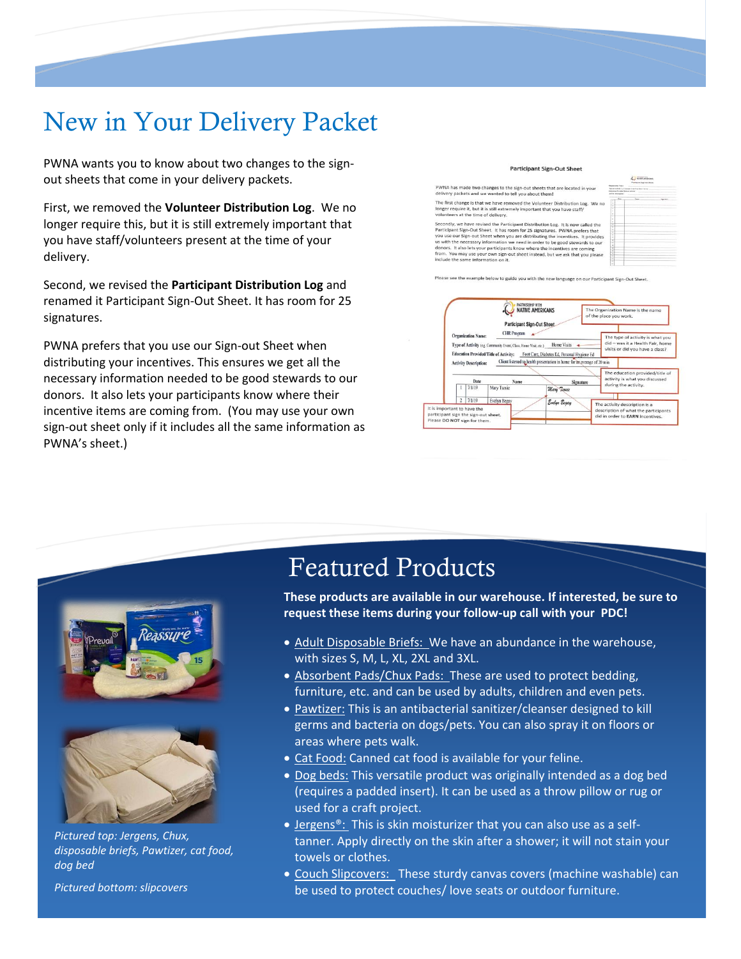## New in Your Delivery Packet

PWNA wants you to know about two changes to the signout sheets that come in your delivery packets.

First, we removed the **Volunteer Distribution Log**. We no longer require this, but it is still extremely important that you have staff/volunteers present at the time of your delivery.

Second, we revised the **Participant Distribution Log** and renamed it Participant Sign-Out Sheet. It has room for 25 signatures.

PWNA prefers that you use our Sign-out Sheet when distributing your incentives. This ensures we get all the necessary information needed to be good stewards to our donors. It also lets your participants know where their incentive items are coming from. (You may use your own sign-out sheet only if it includes all the same information as PWNA's sheet.)

**Participant Sign-Out Sheet** 

PWNA has made two changes to the sign-out sheets that are located in your<br>delivery packets and we wanted to tell you about them! The first change is that we have removed the Volunteer Distribution Log. onger require it, but it is still extremely important that you have staff/<br>rolunteers at the time of delivery. Secondly, we have revised the Participant Distribution Log. It is now called the Secondly, we have revised the Participant Distribution Log. It is now called the Participant Sign-Out Sheet. It has room for 25 signatures. P

us will the necessary information we need in order to be good stewards to our<br>donors. It also lets your participants know where the incentives are coming<br>from. You may use your own sign-out sheet instead, but we ask that y

Please see the example below to guide you with the new language on our Participant Sign-Out Sheet





*Pictured top: Jergens, Chux, disposable briefs, Pawtizer, cat food, dog bed*

*Pictured bottom: slipcovers*

### Featured Products

**These products are available in our warehouse. If interested, be sure to request these items during your follow-up call with your PDC!**

- Adult Disposable Briefs: We have an abundance in the warehouse, with sizes S, M, L, XL, 2XL and 3XL.
- Absorbent Pads/Chux Pads: These are used to protect bedding, furniture, etc. and can be used by adults, children and even pets.
- Pawtizer: This is an antibacterial sanitizer/cleanser designed to kill germs and bacteria on dogs/pets. You can also spray it on floors or areas where pets walk.
- Cat Food: Canned cat food is available for your feline.
- Dog beds: This versatile product was originally intended as a dog bed (requires a padded insert). It can be used as a throw pillow or rug or used for a craft project.
- Jergens<sup>®</sup>: This is skin moisturizer that you can also use as a selftanner. Apply directly on the skin after a shower; it will not stain your towels or clothes.
- Couch Slipcovers: These sturdy canvas covers (machine washable) can be used to protect couches/ love seats or outdoor furniture.